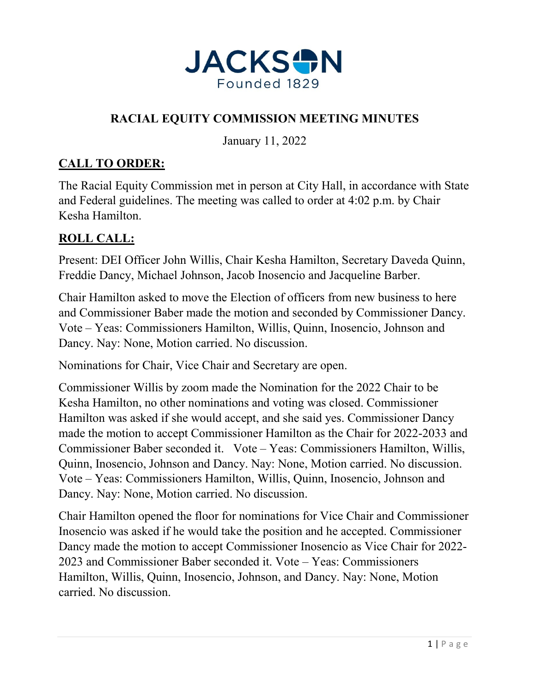

# **RACIAL EQUITY COMMISSION MEETING MINUTES**

January 11, 2022

# **CALL TO ORDER:**

The Racial Equity Commission met in person at City Hall, in accordance with State and Federal guidelines. The meeting was called to order at 4:02 p.m. by Chair Kesha Hamilton.

# **ROLL CALL:**

Present: DEI Officer John Willis, Chair Kesha Hamilton, Secretary Daveda Quinn, Freddie Dancy, Michael Johnson, Jacob Inosencio and Jacqueline Barber.

Chair Hamilton asked to move the Election of officers from new business to here and Commissioner Baber made the motion and seconded by Commissioner Dancy. Vote – Yeas: Commissioners Hamilton, Willis, Quinn, Inosencio, Johnson and Dancy. Nay: None, Motion carried. No discussion.

Nominations for Chair, Vice Chair and Secretary are open.

Commissioner Willis by zoom made the Nomination for the 2022 Chair to be Kesha Hamilton, no other nominations and voting was closed. Commissioner Hamilton was asked if she would accept, and she said yes. Commissioner Dancy made the motion to accept Commissioner Hamilton as the Chair for 2022-2033 and Commissioner Baber seconded it. Vote – Yeas: Commissioners Hamilton, Willis, Quinn, Inosencio, Johnson and Dancy. Nay: None, Motion carried. No discussion. Vote – Yeas: Commissioners Hamilton, Willis, Quinn, Inosencio, Johnson and Dancy. Nay: None, Motion carried. No discussion.

Chair Hamilton opened the floor for nominations for Vice Chair and Commissioner Inosencio was asked if he would take the position and he accepted. Commissioner Dancy made the motion to accept Commissioner Inosencio as Vice Chair for 2022- 2023 and Commissioner Baber seconded it. Vote – Yeas: Commissioners Hamilton, Willis, Quinn, Inosencio, Johnson, and Dancy. Nay: None, Motion carried. No discussion.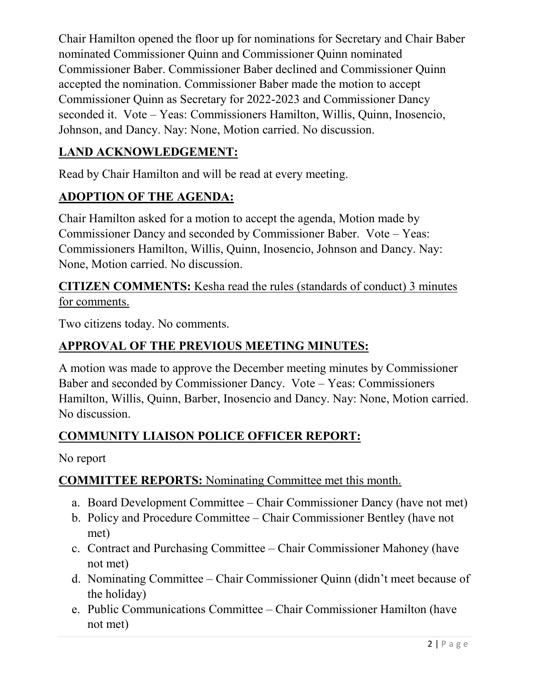Chair Hamilton opened the floor up for nominations for Secretary and Chair Baber nominated Commissioner Quinn and Commissioner Quinn nominated Commissioner Baber. Commissioner Baber declined and Commissioner Quinn accepted the nomination. Commissioner Baber made the motion to accept Commissioner Quinn as Secretary for 2022-2023 and Commissioner Dancy seconded it. Vote – Yeas: Commissioners Hamilton, Willis, Quinn, Inosencio, Johnson, and Dancy. Nay: None, Motion carried. No discussion.

# **LAND ACKNOWLEDGEMENT:**

Read by Chair Hamilton and will be read at every meeting.

# **ADOPTION OF THE AGENDA:**

Chair Hamilton asked for a motion to accept the agenda, Motion made by Commissioner Dancy and seconded by Commissioner Baber. Vote – Yeas: Commissioners Hamilton, Willis, Quinn, Inosencio, Johnson and Dancy. Nay: None, Motion carried. No discussion.

**CITIZEN COMMENTS:** Kesha read the rules (standards of conduct) 3 minutes for comments.

Two citizens today. No comments.

## **APPROVAL OF THE PREVIOUS MEETING MINUTES:**

A motion was made to approve the December meeting minutes by Commissioner Baber and seconded by Commissioner Dancy. Vote – Yeas: Commissioners Hamilton, Willis, Quinn, Barber, Inosencio and Dancy. Nay: None, Motion carried. No discussion.

### **COMMUNITY LIAISON POLICE OFFICER REPORT:**

No report

#### **COMMITTEE REPORTS:** Nominating Committee met this month.

- a. Board Development Committee Chair Commissioner Dancy (have not met)
- b. Policy and Procedure Committee Chair Commissioner Bentley (have not met)
- c. Contract and Purchasing Committee Chair Commissioner Mahoney (have not met)
- d. Nominating Committee Chair Commissioner Quinn (didn't meet because of the holiday)
- e. Public Communications Committee Chair Commissioner Hamilton (have not met)